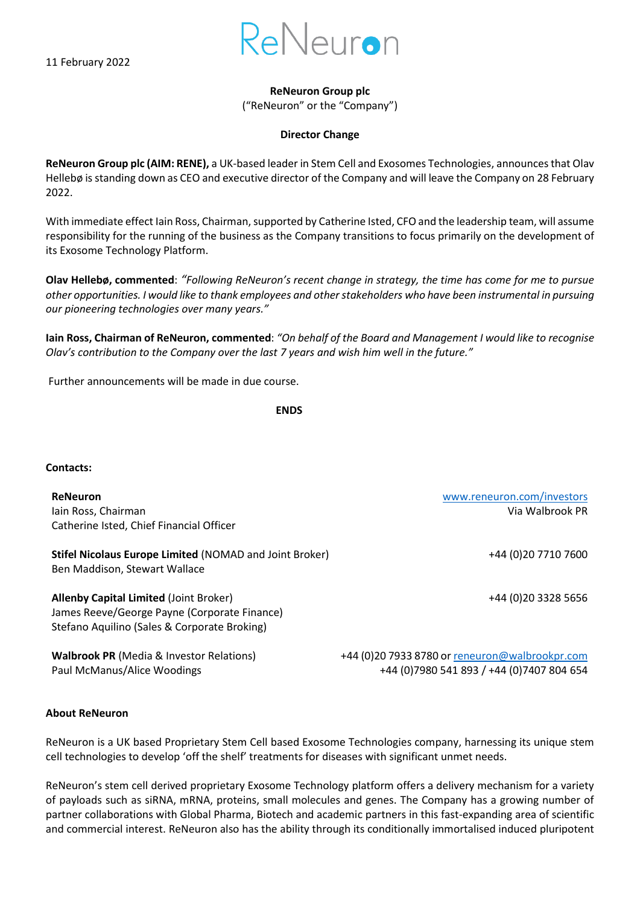11 February 2022



## **ReNeuron Group plc**

("ReNeuron" or the "Company")

## **Director Change**

**ReNeuron Group plc (AIM: RENE),** a UK-based leader in Stem Cell and Exosomes Technologies, announcesthat Olav Hellebø is standing down as CEO and executive director of the Company and will leave the Company on 28 February 2022.

With immediate effect Iain Ross, Chairman, supported by Catherine Isted, CFO and the leadership team, will assume responsibility for the running of the business as the Company transitions to focus primarily on the development of its Exosome Technology Platform.

**Olav Hellebø, commented**: *"Following ReNeuron's recent change in strategy, the time has come for me to pursue other opportunities. I would like to thank employees and other stakeholders who have been instrumental in pursuing our pioneering technologies over many years."*

**Iain Ross, Chairman of ReNeuron, commented**: *"On behalf of the Board and Management I would like to recognise Olav's contribution to the Company over the last 7 years and wish him well in the future."*

Further announcements will be made in due course.

**ENDS** 

## **Contacts:**

**ReNeuron** [www.reneuron.com/investors](http://www.reneuron.com/investors) Iain Ross, Chairman Via Walbrook PR Catherine Isted, Chief Financial Officer

**Stifel Nicolaus Europe Limited** (NOMAD and Joint Broker) Ben Maddison, Stewart Wallace

**Allenby Capital Limited** (Joint Broker) +44 (0)20 3328 5656 James Reeve/George Payne (Corporate Finance) Stefano Aquilino (Sales & Corporate Broking)

+44 (0)20 7710 7600

**Walbrook PR** (Media & Investor Relations) +44 (0)20 7933 8780 or [reneuron@walbrookpr.com](mailto:reneuron@walbrookpr.com) Paul McManus/Alice Woodings +44 (0)7980 541 893 / +44 (0)7407 804 654

## **About ReNeuron**

ReNeuron is a UK based Proprietary Stem Cell based Exosome Technologies company, harnessing its unique stem cell technologies to develop 'off the shelf' treatments for diseases with significant unmet needs.

ReNeuron's stem cell derived proprietary Exosome Technology platform offers a delivery mechanism for a variety of payloads such as siRNA, mRNA, proteins, small molecules and genes. The Company has a growing number of partner collaborations with Global Pharma, Biotech and academic partners in this fast-expanding area of scientific and commercial interest. ReNeuron also has the ability through its conditionally immortalised induced pluripotent